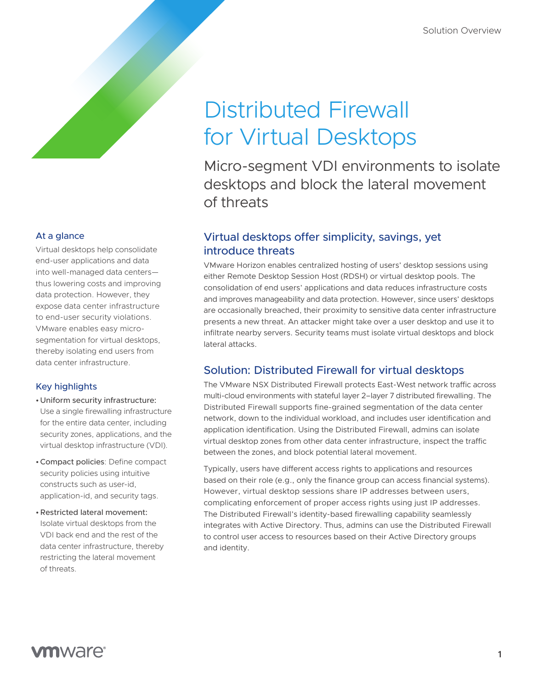### At a glance

Virtual desktops help consolidate end-user applications and data into well-managed data centers thus lowering costs and improving data protection. However, they expose data center infrastructure to end-user security violations. VMware enables easy microsegmentation for virtual desktops, thereby isolating end users from data center infrastructure.

#### Key highlights

- •Uniform security infrastructure: Use a single firewalling infrastructure for the entire data center, including security zones, applications, and the virtual desktop infrastructure (VDI).
- •Compact policies: Define compact security policies using intuitive constructs such as user-id, application-id, and security tags.
- •Restricted lateral movement: Isolate virtual desktops from the VDI back end and the rest of the data center infrastructure, thereby restricting the lateral movement of threats.

# Distributed Firewall for Virtual Desktops

Micro-segment VDI environments to isolate desktops and block the lateral movement of threats

# Virtual desktops offer simplicity, savings, yet introduce threats

VMware Horizon enables centralized hosting of users' desktop sessions using either Remote Desktop Session Host (RDSH) or virtual desktop pools. The consolidation of end users' applications and data reduces infrastructure costs and improves manageability and data protection. However, since users' desktops are occasionally breached, their proximity to sensitive data center infrastructure presents a new threat. An attacker might take over a user desktop and use it to infiltrate nearby servers. Security teams must isolate virtual desktops and block lateral attacks.

# Solution: Distributed Firewall for virtual desktops

The VMware NSX Distributed Firewall protects East-West network traffic across multi-cloud environments with stateful layer 2–layer 7 distributed firewalling. The Distributed Firewall supports fine-grained segmentation of the data center network, down to the individual workload, and includes user identification and application identification. Using the Distributed Firewall, admins can isolate virtual desktop zones from other data center infrastructure, inspect the traffic between the zones, and block potential lateral movement.

Typically, users have different access rights to applications and resources based on their role (e.g., only the finance group can access financial systems). However, virtual desktop sessions share IP addresses between users, complicating enforcement of proper access rights using just IP addresses. The Distributed Firewall's identity-based firewalling capability seamlessly integrates with Active Directory. Thus, admins can use the Distributed Firewall to control user access to resources based on their Active Directory groups and identity.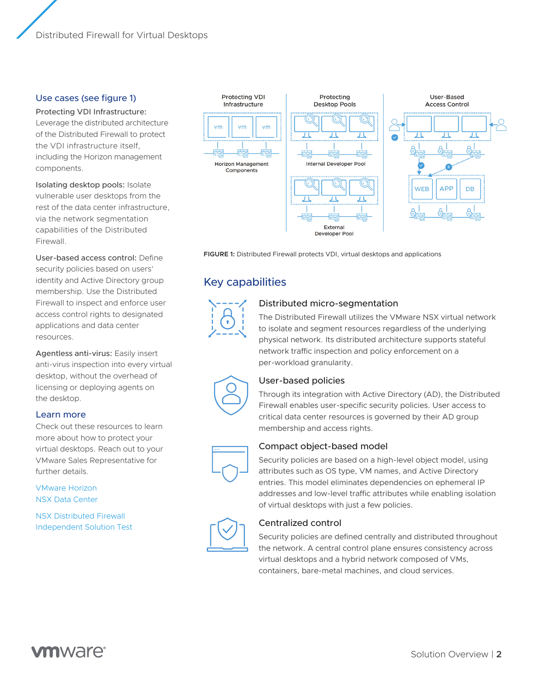#### Use cases (see figure 1)

Protecting VDI Infrastructure: Leverage the distributed architecture of the Distributed Firewall to protect the VDI infrastructure itself, including the Horizon management components.

Isolating desktop pools: Isolate vulnerable user desktops from the rest of the data center infrastructure, via the network segmentation capabilities of the Distributed Firewall.

User-based access control: Define security policies based on users' identity and Active Directory group membership. Use the Distributed Firewall to inspect and enforce user access control rights to designated applications and data center resources.

Agentless anti-virus: Easily insert anti-virus inspection into every virtual desktop, without the overhead of licensing or deploying agents on the desktop.

#### Learn more

Check out these resources to learn more about how to protect your virtual desktops. Reach out to your VMware Sales Representative for further details.

[VMware Horizon](https://www.vmware.com/products/horizon.html)  [NSX Data Center](https://www.vmware.com/products/nsx.html)

[NSX Distributed Firewall](https://www.vmware.com/security/internal-firewall.html)  [Independent Solution Test](https://communities.vmware.com/t5/VMware-NSX-Documents/Service-defined-Firewall-Security-Benchmark/ta-p/2790048)



**FIGURE 1:** Distributed Firewall protects VDI, virtual desktops and applications

# Key capabilities



#### Distributed micro-segmentation

The Distributed Firewall utilizes the VMware NSX virtual network to isolate and segment resources regardless of the underlying physical network. Its distributed architecture supports stateful network traffic inspection and policy enforcement on a per-workload granularity.



#### User-based policies

Through its integration with Active Directory (AD), the Distributed Firewall enables user-specific security policies. User access to critical data center resources is governed by their AD group membership and access rights.



#### Compact object-based model

Security policies are based on a high-level object model, using attributes such as OS type, VM names, and Active Directory entries. This model eliminates dependencies on ephemeral IP addresses and low-level traffic attributes while enabling isolation of virtual desktops with just a few policies.

#### Centralized control

Security policies are defined centrally and distributed throughout the network. A central control plane ensures consistency across virtual desktops and a hybrid network composed of VMs, containers, bare-metal machines, and cloud services.